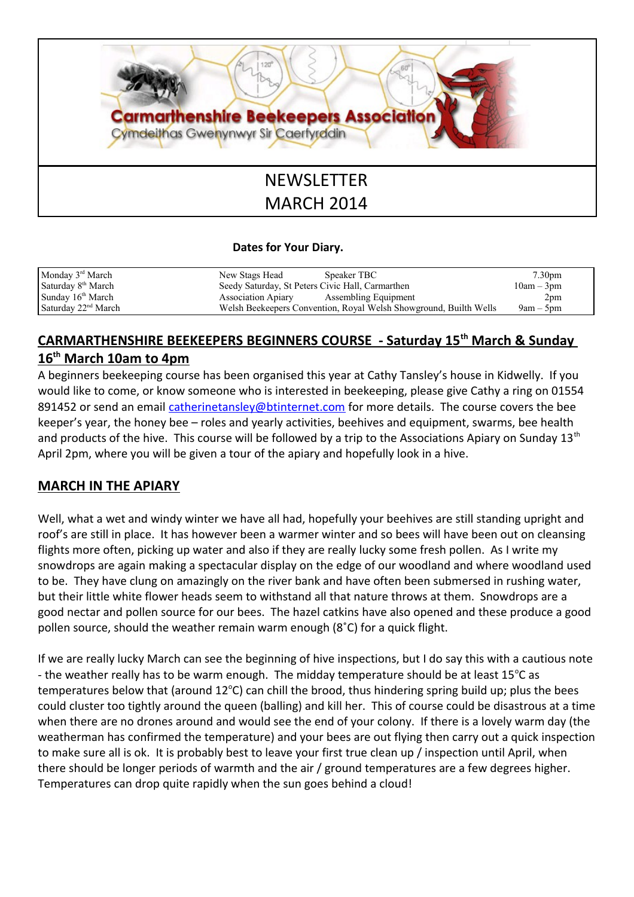

## **Dates for Your Diary.**

| Monday $3rd March$             | New Stags Head                                                    | Speaker TBC          | 7.30 <sub>pm</sub> |
|--------------------------------|-------------------------------------------------------------------|----------------------|--------------------|
| Saturday 8 <sup>th</sup> March | Seedy Saturday, St Peters Civic Hall, Carmarthen                  |                      | $10am - 3pm$       |
| Sunday $16th March$            | <b>Association Apiary</b>                                         | Assembling Equipment | 2pm                |
| Saturday $22nd March$          | Welsh Beekeepers Convention, Royal Welsh Showground, Builth Wells |                      | $9am - 5pm$        |

## **CARMARTHENSHIRE BEEKEEPERS BEGINNERS COURSE - Saturday 15th March & Sunday 16th March 10am to 4pm**

A beginners beekeeping course has been organised this year at Cathy Tansley's house in Kidwelly. If you would like to come, or know someone who is interested in beekeeping, please give Cathy a ring on 01554 891452 or send an email [catherinetansley@btinternet.com](mailto:catherinetansley@btinternet.com) for more details. The course covers the bee keeper's year, the honey bee – roles and yearly activities, beehives and equipment, swarms, bee health and products of the hive. This course will be followed by a trip to the Associations Apiary on Sunday 13<sup>th</sup> April 2pm, where you will be given a tour of the apiary and hopefully look in a hive.

## **MARCH IN THE APIARY**

Well, what a wet and windy winter we have all had, hopefully your beehives are still standing upright and roof's are still in place. It has however been a warmer winter and so bees will have been out on cleansing flights more often, picking up water and also if they are really lucky some fresh pollen. As I write my snowdrops are again making a spectacular display on the edge of our woodland and where woodland used to be. They have clung on amazingly on the river bank and have often been submersed in rushing water, but their little white flower heads seem to withstand all that nature throws at them. Snowdrops are a good nectar and pollen source for our bees. The hazel catkins have also opened and these produce a good pollen source, should the weather remain warm enough (8˚C) for a quick flight.

If we are really lucky March can see the beginning of hive inspections, but I do say this with a cautious note - the weather really has to be warm enough. The midday temperature should be at least  $15^{\circ}$ C as temperatures below that (around  $12^{\circ}$ C) can chill the brood, thus hindering spring build up; plus the bees could cluster too tightly around the queen (balling) and kill her. This of course could be disastrous at a time when there are no drones around and would see the end of your colony. If there is a lovely warm day (the weatherman has confirmed the temperature) and your bees are out flying then carry out a quick inspection to make sure all is ok. It is probably best to leave your first true clean up / inspection until April, when there should be longer periods of warmth and the air / ground temperatures are a few degrees higher. Temperatures can drop quite rapidly when the sun goes behind a cloud!